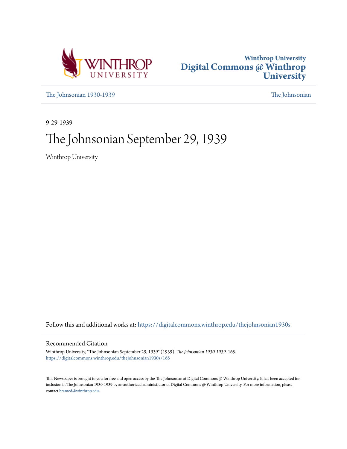



[The Johnsonian 1930-1939](https://digitalcommons.winthrop.edu/thejohnsonian1930s?utm_source=digitalcommons.winthrop.edu%2Fthejohnsonian1930s%2F165&utm_medium=PDF&utm_campaign=PDFCoverPages) [The Johnsonian](https://digitalcommons.winthrop.edu/thejohnsonian_newspaper?utm_source=digitalcommons.winthrop.edu%2Fthejohnsonian1930s%2F165&utm_medium=PDF&utm_campaign=PDFCoverPages)

9-29-1939

# The Johnsonian September 29, 1939

Winthrop University

Follow this and additional works at: [https://digitalcommons.winthrop.edu/thejohnsonian1930s](https://digitalcommons.winthrop.edu/thejohnsonian1930s?utm_source=digitalcommons.winthrop.edu%2Fthejohnsonian1930s%2F165&utm_medium=PDF&utm_campaign=PDFCoverPages)

## Recommended Citation

Winthrop University, "The Johnsonian September 29, 1939" (1939). *The Johnsonian 1930-1939*. 165. [https://digitalcommons.winthrop.edu/thejohnsonian1930s/165](https://digitalcommons.winthrop.edu/thejohnsonian1930s/165?utm_source=digitalcommons.winthrop.edu%2Fthejohnsonian1930s%2F165&utm_medium=PDF&utm_campaign=PDFCoverPages)

This Newspaper is brought to you for free and open access by the The Johnsonian at Digital Commons @ Winthrop University. It has been accepted for inclusion in The Johnsonian 1930-1939 by an authorized administrator of Digital Commons @ Winthrop University. For more information, please contact [bramed@winthrop.edu](mailto:bramed@winthrop.edu).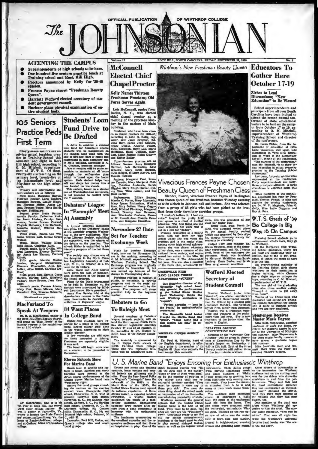OF WINTHROP COLLEGE

ROCK HILL, SOUTH CAROLINA, FRIDAY, SEPTRMBER 29, 1939

## **ACCENTING THE CAMPUS**

 $\mathcal{J}_{he}$ 

- Superintendents of high schools to be here.
- One hundred-five seniors practice teach at<br>Training school and Rock Hill High.
- Proctors announced by Kelly for '39-40 session.
- Frances Payne chosen "Freshman Beanty Queen".
- Harriett Wofford elected secretary of stu-<br>dent government council.
- Buckner plans physical examination of entire student bo idy.

# **Students' Loan 105 Seniors Fund Drive to Practice Peds Be Drafted First Term EXECUTE AND CONSULTER CONSULTER AN ACTION AND A distribution of the canonic and the canonic and the canonic of the canonic state of the canonic state of the canonic state of the canonic Manuscript And In Manuscript Consul**

**Debaters' League** 

**At Assembly** 

**84 Want Places** 

**In College Band** 

**Eleven Schools Here** 

For many means the column and colleges in South Carolina and North Caroline were present in the Artist control of the United States Marine band here

univer performances of the Medical political States Marine band the<br>Wednesday night.<br>Among the band groups attending the mattime or the averaling the simple<br>concern verte (Fig. 17. C., with 40<br>persent; vertey the Fig. acco

For Marine Band

Ninety-seem seniors are receiving actual teaching practice in Training School this semester and eight in Rock C. M. Mitchell, experiments of the C. M. T. S. Or these, primary level than the internalistic level, and the int

fifty-four on the high school level.<br>
Princey and intermediate studies of the conduction of the dead, Margaret Hunter, and<br>
dent-beschers are as follows:<br>
Prince and the school of the school of the school of the<br>
Margaret

eithen;<br>Third grade, Emma Lou Wil-<br>ams, Sederla Lott, Minule Grace

Watson; Music, Helen Wallace Mims, Polaric Christine Riley, Pourth grade, Ruth Griffic, Mil-dred Lawrence, Eleenor Rainwaler, Annie Lee Thomas, Frances

Allott;<br>Fifth<br>rds Elliott;<br>Frith grade, Martha Marior<br>Jordan, Margaret Stringfellow<br>Eleanora Edmonston, Alva Mc<br>Lellan, Alice Nisbet, Caroline Du

Leuten, 1974<br>Boss);<br>Sixth grade, Sara Haynie, Grace<br>Horton, Miriam Ezell, Elizabeth<br>Taibert, Anne Brown, Jane Ken edy;

nedy;<br>Seventh grade, Frances Adams,<br>Mary Foik, Helen Mixson, Mary<br>Crawford Cox, Frances Edwards,

(Continued on page sig)

## **MacFarland To Speak At Vespers**

Dr. R. A. MacFarland, pastor of<br>the Rock Hill First Baptist church<br>will speak on "High Ideals" at the<br>Sunday vespers in the amphithes<br>Ser at 6:30 o'clock.



Dr. MacFarland, who is in his ar at Rock Hill, has served<br>other college centers. He<br>is located the State Termyille, Va.,<br>is located the State Teach-<br>lilegv, at Lynchburg. Va., the bleg.; at Lynchburg, Va., the of Randolph-Macon college



**ChapelProctor Kelly Names Thirteen** Freshman Proctors; Old

**Force Serves Again** 

Lois McConnell, senior from<br>Derita, N. C., was elected<br>chief chapel proctor at a<br>meeting of the proctors Mon-<br>day in the parlors of Main<br>building.

building.<br>
Frankmen who have been chosened as a changed proctors for 1885-40,<br>
according to John G, Kelly, reg-intervalsed and the strength with<br>
strength with Brande Broghom, Eds.<br>
Wina Barr, Sarah Jean Sanders,<br>
Negry Di

and Eure Balley.<br>
Engelsen Balley.<br>
Konson: Amer Elizabeth Balley, Schonnell, Køte<br>
Kollows: Sealon: Amer Elizabeth Wheeler, Mary Scott Burges, Mary Schonley, Schonnell, Advocation Party<br>
Ruth Knight, Mildred Havird, and M

In "Example" Meet A typical informal discussion<br>was given by the Debaters' league at the anemably program Wednesday<br>day in the new auditorium. Winding the proposition, was the winner of<br>the dephasion was the winner of the debate on the que

solved it<br>there is unjustiment in his consideration and the last have greated to the Nederlands<br>of the state of the state of the state of the state of the state of<br>the state of the Nederlands with the consideration of the

## **To Raleigh Meet**

Several members of Debaters'<br>league, forenaic society, will attend the third annual North Caro-<br>lina student legislative assembly<br>Detector 37 and 28 at Raleigh, N.<br>C., according to Dr. Warren G.<br>C., according to Dr. Warre III COLLEGE LEARNING<br>prior and place in the College band, largest college band, largest college girls' band,<br>in the world, scenting to Mark Biddle director.<br>In the world, scenting to Mark Biddle director.<br>A few versences a

ment.<br>The assembly is appeared by<br>the Pi Kappa Delta society of<br>North Carolina State college.<br>Those who will represent Win-<br>throp will be announced later.

N

# Vivacious Frances Payne Chosen

 $\sum_{\substack{1 \text{ of } 0 \text{ prime} \\ 0 \text{ prime} \\ 0 \text{ prime} \\ 0 \text{ prime} \\ 0 \text{ prime} \\ 0 \text{ prime} \\ 0 \text{ prime} \\ 0 \text{ prime} \\ 0 \text{ prime} \\ 0 \text{ prime} \\ 0 \text{ prime} \\ 0 \text{ prime} \\ 0 \text{ prime} \\ 0 \text{ prime} \\ 0 \text{ prime} \\ 0 \text{ prime} \\ 0 \text{ prime} \\ 0 \text{ prime} \\ 0 \text{ prime} \\ 0 \text{ prime} \\ 0 \text{ prime} \\ 0 \text{ prime} \\ 0 \text{ prime} \\ 0 \text{ prime} \\ 0 \text{ prime} \\ 0 \text{ prime}$ 

"Perfect acoustics  $-$  best in the South," he enthusiastically

PHIZE PHI M. Wheeler, head of<br>the English department, is offering a prize to the member of his<br>English di class who submits the<br>best sonaet this semester.

U. S. Marine Band "Enjoys Encoring For Enthusiastic Winthrop

**EVALUATE BARK AND MOTHER CONTROL CONTROL** CONTROL CONTROL CONTROL CONTROL CONTROL CONTROL CONTROL CONTROL CONTROL CONTROL CONTROL CONTROL CONTROL CONTROL CONTROL CONTROL CONTROL CONTROL CONTROL CONTROL CONTROL CONTROL CO

## Winthrop's New Freshman Beauty Oueen Educators To **Gather Here October 17-19**

**Zirbes** to Lead Discussions; "New<br>Education" to Be Viewed

School superintendents and<br>principals from all over South Carolina have been invited to<br>attend the second annual con-<br>ference of state educational<br>jeaders to be held on the campus<br>of the conduction of the conduction<br>superi of the conference.

of the conference.<br>
pertment of education at Other State university, will again test<br>
State university, will again test<br>
State university, will again test<br>
discussion on "The New Educa-<br>
"The purpose of the conference."<br>
"

says Mr. Michell, "is to show the precise in the Training School precise in the Training School every cluster of the Training School every cluster control can year, forty-six schools were precised at the conference.<br>The pr

usines, 19 joined the ranks of navy<br>blue this fall. (and the ranks of navy<br>blue this fall. (and overveloring rankiely of the Training School gibtle choose<br>Winkbrop as their institution of Winkbrop and the ranking school a

### **Stephenson Receives Master Music Degree**

Miss Ruth Stephenson, as professor of volce and plano, re-<br>ceived her matter's degree in matter<br>since at the University of Michigan<br>this summer.<br>the three transfers of the higher the function of the three carrel as<br>for the signal discussion of thi

tion for 1939-40 by a student point<br>conducted Monday. She tiefested<br>Sylvia Ness, junior from Denmark.<br>Harriet was a freshman counter<br>selor, and treasurer of the sopha-<br>more class last year. She is now<br>secretary of the juni mted. commented.<br>The Greenville hand leader<br>thought the Marine Band was<br>"great". "Sousa never had a<br>bass section like that." he re-DEBATERS OBSERVE **CONSITY THE CONSIDER AN INSTERNATION**<br> **Contains on the "American Constitution" will be given in observance of Constitution Day by De-<br>
bater's league on Wednesday at<br>
4:15 in Cito hall. Each of the three-<br>
litterary soci** 

marked. WHEELER OFFERS SONNET

PRIZE

the Student Government association for 1939-40 by a student pole<br>conducted Monday. She defeated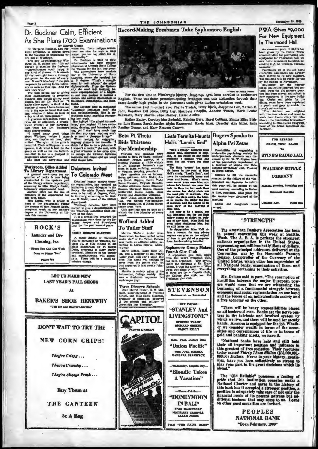### THE JOHNSONIAN

## Dr. Buckner Calm, Efficient As She Plans 1700 Examinations

Workroom, Office Added

**To Library Department** 

To Library Department conditions of contraction<br>of the second security of the contracted in the upstain particular<br>constructed in the upstain part of the library science department, is<br>according to Miss Gladys Smith, impor

ROCK'S

Laundry and Dry

Cleaning, Inc.

Where You Can Get Work

**Phone 718** 

ne to Please You"

As She Plans 1700 Examining the control of the most internal dispose of the most state in the present of the most state is the present of the most state in the state of the most state is the present of the most state of t

hundred girls would dimage most is the served is<br>structure. Since the served is the served in the server of cases I have been<br>propic, but not Dr. Bucknet . "If Soliding<br>exp. Philadelphia, and Rish compares allow mysel to

Debaters Invited

To Colorado Moet

# **Record-Making Freshmen Take Sophomore English**



From the first time in Winthrop's Metory, frequency have been enroled in sophomore English. These two dosen precedent-setting freshmen won this distinction through their exceptionally high grades in the placement tests gi

The names (not in order) are: Phyllis Tiadale, Betty Black, Josephine Cox, Marian E. John, Dorothea Del Seamo, Betty Lay, Marjorie Chaplin, Annette Truett, Marie Louise. Schwartz, Mary Martin, Jane Farney, Hazel Ashley.

Esther Bailey, Dorothy Mae Swindell, Edwina Barr, Hazel Collings, Emma Ellen Blah-<br>op, Lois Rhame, Sarah Justice, Alpha Hammond, Maria Moss, Dorothy Ann Sims, Ruby Pauline Young, and Mary Frances Cannon.

Little Termite Haunts Rogers Speaks to

## **Beta Pi Theta Bids Thirteen For Membership**

Martha Wofford, junior from<br>heenwood, has been added to the<br>enior staff of the Tatler, College ear book, as editorial editor, Coloration and the Tatler, Color<br>ording to Liswa Ellerbe, editorial year b  $tor, as$ 

in-chief.<br>
Marie Bethes, junior from Dil-<br>
Marie Bethes, junior for last year's<br>
junior staff, will serve again this<br>
year. Her name was omitted by<br>
error from the junior staff list<br>
that appeared in last week's John-<br>
con

Three Observe Schools<br>Dean Mowat Fraser, O. M. Mitchell, superintendent of Training<br>School, and Miss Sedie Goggans, of the schools and colleges of education, observed<br>the schools and colleges of<br>eenville last Thursday.

"He's a good"." declared Michael Michael (1941).<br>Maude Hall, hatructor in Engineer<br>this, es abe spoke of har printing and<br>numiance - appuide who has

Hall's "Land's End"

beam four pair weary for four<br>about home in the collaboration of the limit of the limit of the beam<br>and the beam of the read of Miss half in the read of the read of the<br>state in the read of the read of the read of the read ti, and the new<br>w ed the he

of savednad, and the nearest to an<br>of savednad, and the nearest to an<br>Min Hall.<br>Here only is he a speed, but<br>high in Hall.<br>he's immerial, isso, for the likelihour second right<br>follow seems to their sometime. In the sailly

## **Sophomore Group Makes Fourth Glee Club**

Fourth Glee Club<br>A sophence give club, made<br>A sophence give club, made<br>from last year's freshman club,<br>has been organized. This group,<br>where the direction of Dr. Except<br>throp give clubs to four. The other<br>throp give clubs

**STEVENSON** 

ted - Ren Now Playing-"STANLEY And LIVINGSTONE" SPENCER TRACT<br>RICHARD GREEKE **NANCY RELLY** n. Tues  $\mathbf{B}$  $\n **2**\n$ 

"Union Pacific" With JOEL McCREA<br>ARBARA STANWYCK

day, Bargain Day "Blondie Takes **A** Vacation"

Thurs. Pri. Rat.

**"HONEYMOON** IN BALI" FRED MACHURRAY<br>MADELINE CARROLL

**ALLAN JONES** "THE RADIS CAME

# **Alpha Psi Zetas** Possibilities of organizing a state-wide paychology society for undergreduate students was discussed by Dr. W. W. Rogers, head of the paychology department, at a meeting of Alpha Pul Zeta, campus paychology club, Tussday

Officers to fill the vecancie<br>created by the failure of the vice creased by the manyor on the received properties that this year will be obtonen at the characteristic space of the season in the season were discussed at the season were discussed at the the sessi<br>meeting.

Coffee and doughnuts were rved.

# "STRENGTH"

The American Bankers Association has been<br>in annual convention this week at Seattle,<br>Wash. The A. B. A. is perhaps the strongest<br>national organization in the United States,<br>representing not millions but billions of dollar

Mr. Delano said in part, "The resumption of<br>hostilities between the major European pow-<br>ors would seem that we are witnessing the<br>beginning of a fundamental struggle between<br>economic and social regimentation on one hand<br>an a free economy on the other.

"There will be heavy responsibilities placed<br>on all leaders of men. Banks are the nerve cen-<br>ters in the intricate and involved system by<br>which we live, cad there will be need for steady<br>hands. America is equipped for the

Notational hands are the and still hold<br>their all important position and influence in<br>this greatest of free societies. Their resources<br>today exceed Thirty Three Billion (\$33,000,000,000)<br>000,00) Dollars. Never in your hist

The "Old Reliable" possesses a feeling of<br>pride that .his institution operates under a<br>National Charter and never in the history of<br>this bank has it occupied a atronger position, a<br>position to adequately take care of not o

PEOPLES **NATIONAL BANK** "Born February, 1906"

For Membership<br>
unitation new membership<br>
Thicken new members were<br>
elected to Beta Pi Thets, national<br>
henceurs<br>
Prench acceleristy, st and the median Theorem and the new members<br>
to The Elizabeth Jehnon's class<br>
to Vien To Color Tange, campus from the original control of the original control and include the original control and a more to be held at Departer, Color and the energy of the response of the control of the control of the control **Wofford Added To Tatler Staff** COMIC DERATE PLANNED New Margins FLARINGO<br>conic debate or discussion<br>be spensored on Tuesday, Oc-<br> $r: 10$ , at 6:30 c'elock in old<br> $r: 10$ , according to Mary Durby, a<br>dent. Members of the factory matrice of the factor of the factory<br>on charge.

onuan.<br>Martha is society editor of the<br>ohnsonian, College weekly. She<br>ras a freshman counselor her<br>ophomore year.

**BAKER'S SHOE RENEWRY** "Call for and Dallvery dervice

**DON'T WAIT TO TRY THE NEW CORN CHIPS!** 

uober<br>Main

and ad

**LET US MAKE NEW LAST YEAR'S FALL SHOES** 

At

They're Crispy...

They're Crunchy...

They're Always Fresh ...

**Buy Them at** 

THE CANTEEN

5c A Bag



 $-99.198$ 

## PWA Gives \$9,000 For New Equipment In Thurmond Hall

An amended grant of \$9,315 has<br>been given by the Public Works<br>administration for purchasing new<br>equigment for Thurmond hall, the<br>new home economics building, ac-<br>cording to A. M. Graham, business<br>manager.

anager.<br>Practically all of the old ho

manus<br/>recononics couplement has already becomomic supernomic becomomic summer<br/>with the ready for the building with the ready for the number of the<br/>manus of the matter summer of the number of the number of<br/>

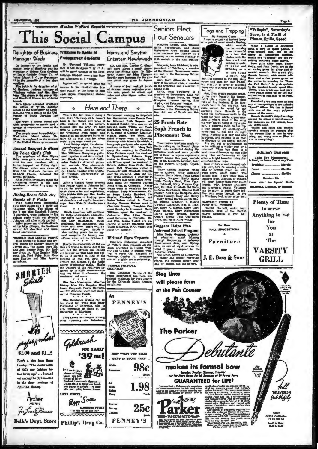

sland.<br>Mrs. Glover attended Winthrep<br>he winter of '37-38, summer<br>hool at the University of Louis-<br>na and was a junior at the Uni-<br>grally of South Carolina last

By Town Girl's Club **Eige Tourn Girl's Club**<br>The members of Beta Sigman<br>Delta, town girl's social club, hon-<br>ored the new members with a boundary conduction<br>formal banquet last Friday night.<br>The dimner, which was given at<br>Miss Ann Erakine's t

## Dining-Room Girls Are **Guests at Y Party**

Graves are Y Parry to change the distribution of the distribution of the distribution of the matrice of the variable of the content of the variable state of the variable of the variable paper which was given in Johnson hal

WADRLE HAS DINNER PARTY Miss Constance Wardle had several guests for Sunday dinner in creation of Sunday Read, Mr. Roder Read, Mr. Roder Read, Mr. Roder Read, Mr. Roder Read, Mr. Roder Read, Mr. Pred. Felex, Miss Functions



**Ircher Hosier** For Lovely M

**Belk's Dept. Store** 

ó

Here and There

euse. Bean East G. Attention age a change of the local<br>guest. a compared to the conduction of the local control of the conduction<br>in the conduction of the second particular of the conduction of the<br>seconduction of the seco

officers which will be October 6.<br>
Maybe the conomists of the na-<br>
Maybe the conomists of the near typing to get us out of the<br>
rece, but the stylists and hatters<br>
rece, but the stylist and hat the rece of the conomist of WARDLE FESTIVAL

Miss Constance Wardle of the<br>music department has been ap-<br>pointed chairman for York county<br>for the Columbia Music Festival

At

All<br>Wool<br>Skirk

**favy** 

**PENNEY'S** 

**JUST WHAT YOU GIRLS** 

WANT IN SPORT TOGS!

**PENNEY'S** 

**98c** 

Each

Miss Constance Wardle had as<br>
ber guest last week Miss Mary<br>
Fishburne of Columbia, who is<br>
now instructor in piano at the<br>
University of Michigan.

They Leave the Campus.<br>ose attending the Ral

mmmmmm Goldrush **FOR SMART** 

**'39 ms!** 

函 It's the fe

SIXTY CENTS

Reggy Sage MANICURE POLIS

mmmm **Duv** 

Phillip's Drug Co.

ium.<br>Marjorie, from Richli

ò.

## Soph French in **Placement Test**

Tw men made su Twenty-flue freshmen made su-<br>perior rating on the French place-<br>ment tests conducted during Or-<br>tentation week and were permit-<br>ted to enroll in regular sophomere-<br>French classes this year, accord-<br>ing to Dr. Elizabeth Jo

**Ashwood School Program** Ashwood School Program<br>
Mis Saide Gegana, protessor<br>
of estucation, spent Mooday<br>
of estucation, spent Mooday<br>
through Wednesday at Ashwood<br>
Resettlement Area, near Bishop-<br>
viled to plan a program for the<br>
viled to plan a

will please form at the Pen Counter

**The Parker** 



Togs and Trapping

"Tailspin", Saturday's Show, Is A Thrill of Planes, Spills, Speed

By Rooman Guess small, **Developed and the control of the control of the control of the small of the small of the small of the small of the small of the small of the small of the small of the small of the small of the smal** 

Breakfast... \* reach 35c-50c 40 Sunday, 80c

a 459-J for Special Wal **Dh** Breakfasts. Lunches. or Dis

**Plenty of Time** to serve **Anything to Eat** for You  $at$ The

**SEE** 

**In VARSITY GRILL** 

**FALL SUGGESTIO** Furniture

J. E. Bass & Sons

Page 6





**VACUMATIC#ED** 

fet, a wholly original<br>And there's nothing<br>th Point of 14 K Clold,

makes its formal bow

Smarter, Smaller, Slimmer, Trimmer<br>Yet Far Mare Room for ink Because of 14 Fewer Parts

nitante

**TELEVISIO** July Sules

> **85 to \$12.50** ici<sup>c</sup>a in Áite<br>Listo nu S.E



By Rosanne Guess -**Four Senators**  $rac{1}{1}$ Marjorie Denny, Ann Thomas,<br>Edith Bedenbaugh, and Betty<br>Richardson were elected senior<br>class senators for 1939-40 at a

president of Tri-Beta, a model the Student Government<br>eil, and of the Secondary

ed, and of the Secondary Education<br>Line discussions and the Secondary Education and the acceleration<br>tary of the senior class, a member of the secondary and a member of<br>Education control of the secondary of Strawberry Leaf

25 Frosh Rate

Writers' Have Tryouts WEITCHE MANUEL THREE MANUEL OF WINDOWS SIZE CHAPTER of Writers' club to hand in original writers' club to hand in original writers' club to hand in original writers' club to hand in original writers of the manuel of the ma

**Stag Lines** 

meeting of the seniors<br>6:30 o'elock in the m rs Monday at

ing to consect the property of the property of the principle in the spin section of the modern has the modern beam of the modern of the modern of the modern of the modern of the modern of the modern of the modern of the s

Goggans Helps Plan